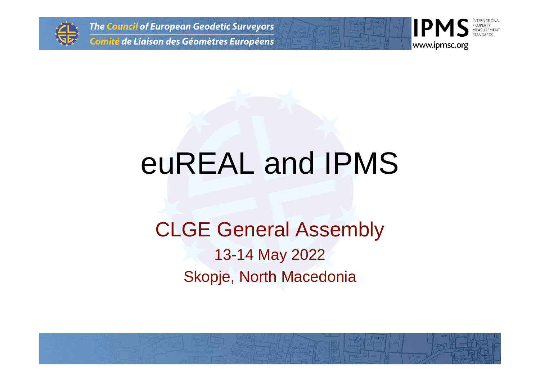

**The Council of European Geodetic Surveyors** Comité de Liaison des Géomètres Européens



# euREAL and IPMS

#### CLGE General Assembly13-14 May 2022Skopje, North Macedonia

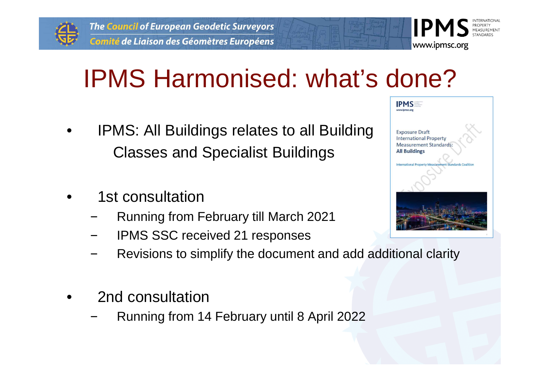



- • IPMS: All Buildings relates to all BuildingClasses and Specialist Buildings
- • 1st consultation
	- Running from February till March 2021
	- IPMS SSC received 21 responses
	- Revisions to simplify the document and add additional clarity
- • 2nd consultation
	- Running from 14 February until 8 April 2022

| www.ipmsc.org | <b>IPMS</b>                                                   |
|---------------|---------------------------------------------------------------|
|               | <b>Exposure Draft</b><br><b>International Property</b>        |
|               | <b>Measurement Standards:</b><br><b>All Buildings</b>         |
|               | <b>International Property Measurement Standards Coalition</b> |
|               |                                                               |
|               |                                                               |
|               |                                                               |

www.ipmsc.org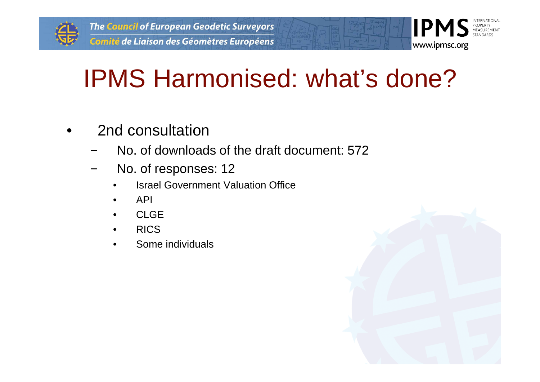

## IPMS Harmonised: what's done?

- • 2nd consultation
	- No. of downloads of the draft document: 572
	- No. of responses: 12
		- •Israel Government Valuation Office
		- •API
		- •CLGE
		- RICS•
		- Some individuals•



**IIPM** 

www.ipmsc.org

PROPERTY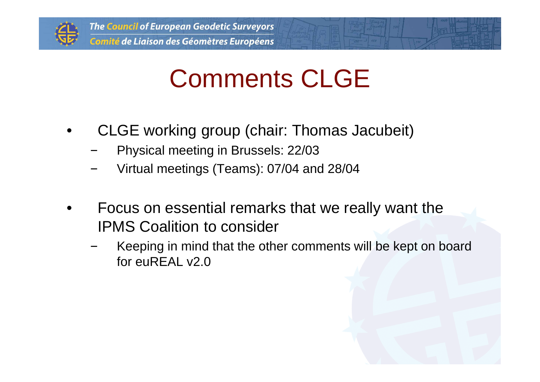

### Comments CLGE

- • CLGE working group (chair: Thomas Jacubeit)
	- Physical meeting in Brussels: 22/03
	- Virtual meetings (Teams): 07/04 and 28/04
- • Focus on essential remarks that we really want theIPMS Coalition to consider
	- Keeping in mind that the other comments will be kept on board for euREAL v2.0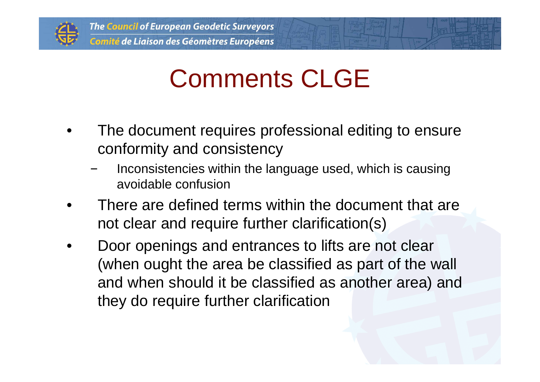

### Comments CLGE

- • The document requires professional editing to ensureconformity and consistency
	- Inconsistencies within the language used, which is causing avoidable confusion
- • There are defined terms within the document that are not clear and require further clarification(s)
- • Door openings and entrances to lifts are not clear(when ought the area be classified as part of the wall and when should it be classified as another area) andthey do require further clarification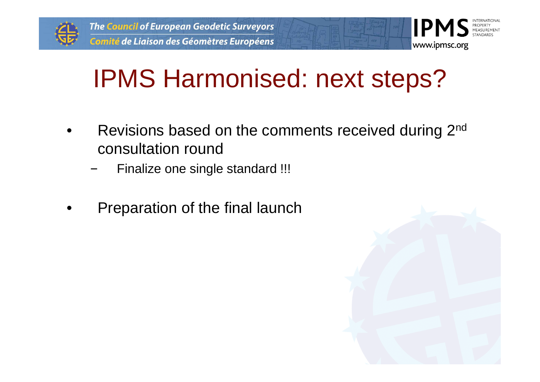



#### IPMS Harmonised: next steps?

- • Revisions based on the comments received during 2nd consultation round
	- Finalize one single standard !!!
- •Preparation of the final launch